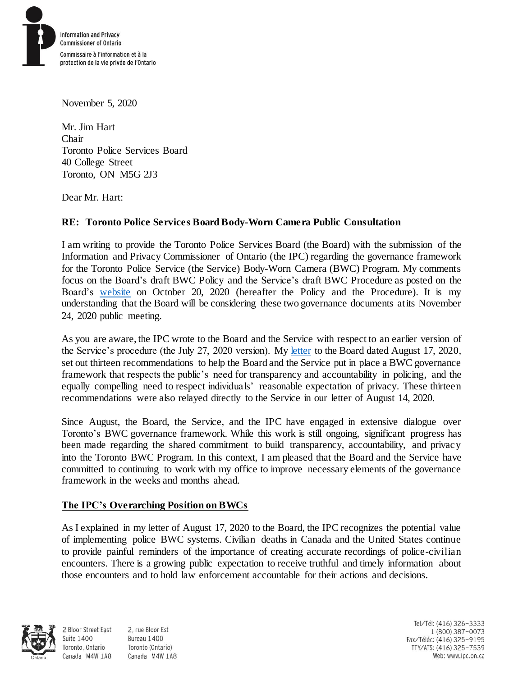

November 5, 2020

Mr. Jim Hart Chair Toronto Police Services Board 40 College Street Toronto, ON M5G 2J3

Dear Mr. Hart:

# **RE: Toronto Police Services Board Body-Worn Camera Public Consultation**

I am writing to provide the Toronto Police Services Board (the Board) with the submission of the Information and Privacy Commissioner of Ontario (the IPC) regarding the governance framework for the Toronto Police Service (the Service) Body-Worn Camera (BWC) Program. My comments focus on the Board's draft BWC Policy and the Service's draft BWC Procedure as posted on the Board's [website](https://tpsb.ca/consultations-and-publications/body-worn-cameras-policy-public-consultation) on October 20, 2020 (hereafter the Policy and the Procedure). It is my understanding that the Board will be considering these two governance documents at its November 24, 2020 public meeting.

As you are aware, the IPC wrote to the Board and the Service with respect to an earlier version of the Service's procedure (the July 27, 2020 version). My [letter](https://www.ipc.on.ca/good-governance-will-be-the-key-to-delivering-on-the-promise-of-body-worn-cameras/) to the Board dated August 17, 2020, set out thirteen recommendations to help the Board and the Service put in place a BWC governance framework that respects the public's need for transparency and accountability in policing, and the equally compelling need to respect individuals' reasonable expectation of privacy. These thirteen recommendations were also relayed directly to the Service in our letter of August 14, 2020.

Since August, the Board, the Service, and the IPC have engaged in extensive dialogue over Toronto's BWC governance framework. While this work is still ongoing, significant progress has been made regarding the shared commitment to build transparency, accountability, and privacy into the Toronto BWC Program. In this context, I am pleased that the Board and the Service have committed to continuing to work with my office to improve necessary elements of the governance framework in the weeks and months ahead.

## **The IPC's Overarching Position on BWCs**

As I explained in my letter of August 17, 2020 to the Board, the IPC recognizes the potential value of implementing police BWC systems. Civilian deaths in Canada and the United States continue to provide painful reminders of the importance of creating accurate recordings of police-civilian encounters. There is a growing public expectation to receive truthful and timely information about those encounters and to hold law enforcement accountable for their actions and decisions.



**Suite 1400** 

2, rue Bloor Est 2 Bloor Street East Bureau 1400 Toronto (Ontario) Toronto, Ontario Canada M4W 1A8 Canada M4W 1A8

Tel/Tél: (416) 326-3333 1 (800) 387-0073 Fax/Téléc: (416) 325-9195 TTY/ATS: (416) 325-7539 Web: www.ipc.on.ca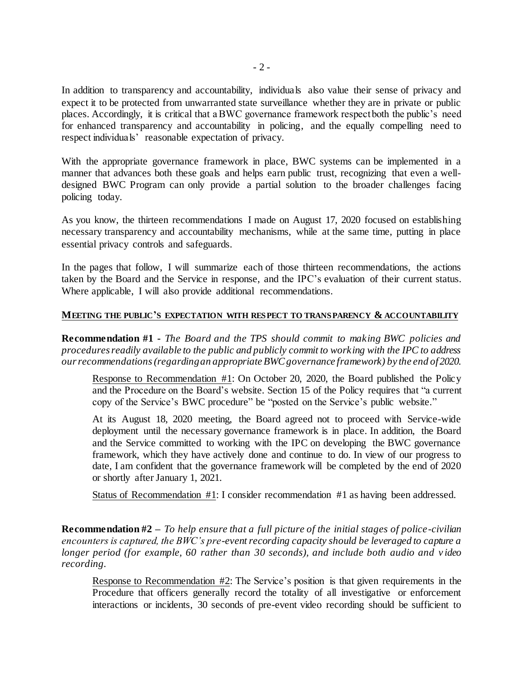In addition to transparency and accountability, individuals also value their sense of privacy and expect it to be protected from unwarranted state surveillance whether they are in private or public places. Accordingly, it is critical that a BWC governance framework respect both the public's need for enhanced transparency and accountability in policing, and the equally compelling need to respect individuals' reasonable expectation of privacy.

With the appropriate governance framework in place, BWC systems can be implemented in a manner that advances both these goals and helps earn public trust, recognizing that even a welldesigned BWC Program can only provide a partial solution to the broader challenges facing policing today.

As you know, the thirteen recommendations I made on August 17, 2020 focused on establishing necessary transparency and accountability mechanisms, while at the same time, putting in place essential privacy controls and safeguards.

In the pages that follow, I will summarize each of those thirteen recommendations, the actions taken by the Board and the Service in response, and the IPC's evaluation of their current status. Where applicable, I will also provide additional recommendations.

### **MEETING THE PUBLIC'S EXPECTATION WITH RESPECT TO TRANSPARENCY & ACCOUNTABILITY**

**Recommendation #1 -** *The Board and the TPS should commit to making BWC policies and procedures readily available to the public and publicly commit to working with the IPC to address ourrecommendations (regarding an appropriate BWC governance framework) by the end of 2020.* 

Response to Recommendation #1: On October 20, 2020, the Board published the Policy and the Procedure on the Board's website. Section 15 of the Policy requires that "a current copy of the Service's BWC procedure" be "posted on the Service's public website."

At its August 18, 2020 meeting, the Board agreed not to proceed with Service-wide deployment until the necessary governance framework is in place. In addition, the Board and the Service committed to working with the IPC on developing the BWC governance framework, which they have actively done and continue to do. In view of our progress to date, I am confident that the governance framework will be completed by the end of 2020 or shortly after January 1, 2021.

Status of Recommendation #1: I consider recommendation #1 as having been addressed.

**Recommendation #2 –** *To help ensure that a full picture of the initial stages of police-civilian encounters is captured, the BWC's pre-event recording capacity should be leveraged to capture a longer period (for example, 60 rather than 30 seconds), and include both audio and v ideo recording.* 

Response to Recommendation #2: The Service's position is that given requirements in the Procedure that officers generally record the totality of all investigative or enforcement interactions or incidents, 30 seconds of pre-event video recording should be sufficient to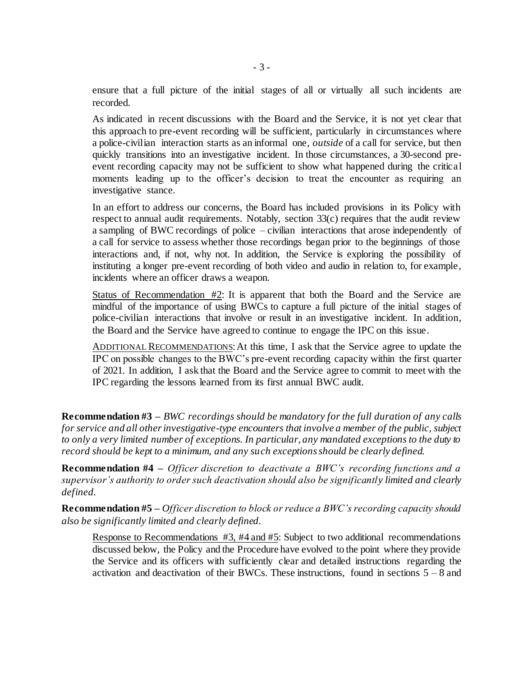ensure that a full picture of the initial stages of all or virtually all such incidents are recorded.

As indicated in recent discussions with the Board and the Service, it is not yet clear that this approach to pre-event recording will be sufficient, particularly in circumstances where a police-civilian interaction starts as an informal one, *outside* of a call for service, but then quickly transitions into an investigative incident. In those circumstances, a 30-second preevent recording capacity may not be sufficient to show what happened during the critical moments leading up to the officer's decision to treat the encounter as requiring an investigative stance.

In an effort to address our concerns, the Board has included provisions in its Policy with respect to annual audit requirements. Notably, section 33(c) requires that the audit review a sampling of BWC recordings of police – civilian interactions that arose independently of a call for service to assess whether those recordings began prior to the beginnings of those interactions and, if not, why not. In addition, the Service is exploring the possibility of instituting a longer pre-event recording of both video and audio in relation to, for example, incidents where an officer draws a weapon.

Status of Recommendation  $#2$ : It is apparent that both the Board and the Service are mindful of the importance of using BWCs to capture a full picture of the initial stages of police-civilian interactions that involve or result in an investigative incident. In addition, the Board and the Service have agreed to continue to engage the IPC on this issue.

ADDITIONAL RECOMMENDATIONS: At this time, I ask that the Service agree to update the IPC on possible changes to the BWC's pre-event recording capacity within the first quarter of 2021. In addition, I ask that the Board and the Service agree to commit to meet with the IPC regarding the lessons learned from its first annual BWC audit.

**Recommendation #3 –** *BWC recordings should be mandatory for the full duration of any calls for service and all other investigative-type encounters that involve a member of the public, subject to only a very limited number of exceptions. In particular, any mandated exceptions to the duty to record should be kept to a minimum, and any such exceptions should be clearly defined.*

**Recommendation #4 –** *Officer discretion to deactivate a BWC's recording functions and a supervisor's authority to order such deactivation should also be significantly limited and clearly defined.*

**Recommendation #5 –** *Officer discretion to block or reduce a BWC's recording capacity should also be significantly limited and clearly defined.* 

Response to Recommendations #3, #4 and #5: Subject to two additional recommendations discussed below, the Policy and the Procedure have evolved to the point where they provide the Service and its officers with sufficiently clear and detailed instructions regarding the activation and deactivation of their BWCs. These instructions, found in sections  $5 - 8$  and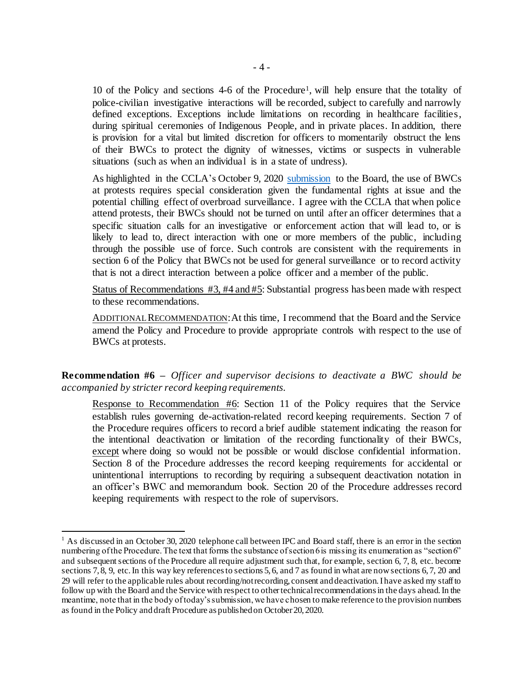10 of the Policy and sections 4-6 of the Procedure<sup>1</sup>, will help ensure that the totality of police-civilian investigative interactions will be recorded, subject to carefully and narrowly defined exceptions. Exceptions include limitations on recording in healthcare facilities, during spiritual ceremonies of Indigenous People, and in private places. In addition, there is provision for a vital but limited discretion for officers to momentarily obstruct the lens of their BWCs to protect the dignity of witnesses, victims or suspects in vulnerable situations (such as when an individual is in a state of undress).

As highlighted in the CCLA's October 9, 2020 [submission](https://tpsb.ca/component/jdownloads/send/40-body-worn-cameras/640-body-worn-cameras-policy-consultation-ccla-submission) to the Board, the use of BWCs at protests requires special consideration given the fundamental rights at issue and the potential chilling effect of overbroad surveillance. I agree with the CCLA that when police attend protests, their BWCs should not be turned on until after an officer determines that a specific situation calls for an investigative or enforcement action that will lead to, or is likely to lead to, direct interaction with one or more members of the public, including through the possible use of force. Such controls are consistent with the requirements in section 6 of the Policy that BWCs not be used for general surveillance or to record activity that is not a direct interaction between a police officer and a member of the public.

Status of Recommendations #3, #4 and #5: Substantial progress has been made with respect to these recommendations.

ADDITIONAL RECOMMENDATION: At this time, I recommend that the Board and the Service amend the Policy and Procedure to provide appropriate controls with respect to the use of BWCs at protests.

**Recommendation #6 –** *Officer and supervisor decisions to deactivate a BWC should be accompanied by stricter record keeping requirements.* 

Response to Recommendation #6: Section 11 of the Policy requires that the Service establish rules governing de-activation-related record keeping requirements. Section 7 of the Procedure requires officers to record a brief audible statement indicating the reason for the intentional deactivation or limitation of the recording functionality of their BWCs, except where doing so would not be possible or would disclose confidential information. Section 8 of the Procedure addresses the record keeping requirements for accidental or unintentional interruptions to recording by requiring a subsequent deactivation notation in an officer's BWC and memorandum book. Section 20 of the Procedure addresses record keeping requirements with respect to the role of supervisors.

l

<sup>&</sup>lt;sup>1</sup> As discussed in an October 30, 2020 telephone call between IPC and Board staff, there is an error in the section numbering of the Procedure. The text that forms the substance of section 6 is missing its enumeration as "section 6" and subsequent sections of the Procedure all require adjustment such that, for example, section 6, 7, 8, etc. become sections 7, 8, 9, etc. In this way key references to sections 5, 6, and 7 as found in what are now sections 6, 7, 20 and 29 will refer to the applicable rules about recording/not recording, consent and deactivation. I have asked my staff to follow up with the Board and the Service with respect to other technical recommendations in the days ahead. In the meantime, note that in the body of today's submission, we have chosen to make reference to the provision numbers as found in the Policy and draft Procedure as published on October 20, 2020.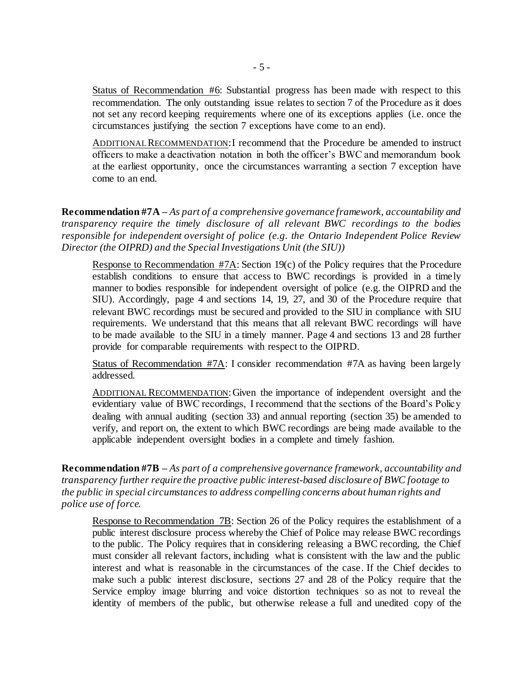Status of Recommendation #6: Substantial progress has been made with respect to this recommendation. The only outstanding issue relates to section 7 of the Procedure as it does not set any record keeping requirements where one of its exceptions applies (i.e. once the circumstances justifying the section 7 exceptions have come to an end).

ADDITIONAL RECOMMENDATION:I recommend that the Procedure be amended to instruct officers to make a deactivation notation in both the officer's BWC and memorandum book at the earliest opportunity, once the circumstances warranting a section 7 exception have come to an end.

**Recommendation #7A –** *As part of a comprehensive governance framework, accountability and transparency require the timely disclosure of all relevant BWC recordings to the bodies responsible for independent oversight of police (e.g. the Ontario Independent Police Review Director (the OIPRD) and the Special Investigations Unit (the SIU))*

Response to Recommendation #7A: Section 19(c) of the Policy requires that the Procedure establish conditions to ensure that access to BWC recordings is provided in a timely manner to bodies responsible for independent oversight of police (e.g. the OIPRD and the SIU). Accordingly, page 4 and sections 14, 19, 27, and 30 of the Procedure require that relevant BWC recordings must be secured and provided to the SIU in compliance with SIU requirements. We understand that this means that all relevant BWC recordings will have to be made available to the SIU in a timely manner. Page 4 and sections 13 and 28 further provide for comparable requirements with respect to the OIPRD.

Status of Recommendation #7A: I consider recommendation #7A as having been largely addressed.

ADDITIONAL RECOMMENDATION: Given the importance of independent oversight and the evidentiary value of BWC recordings, I recommend that the sections of the Board's Policy dealing with annual auditing (section 33) and annual reporting (section 35) be amended to verify, and report on, the extent to which BWC recordings are being made available to the applicable independent oversight bodies in a complete and timely fashion.

**Recommendation #7B –** *As part of a comprehensive governance framework, accountability and transparency further require the proactive public interest-based disclosure of BWC footage to the public in special circumstances to address compelling concerns about human rights and police use of force.*

Response to Recommendation 7B: Section 26 of the Policy requires the establishment of a public interest disclosure process whereby the Chief of Police may release BWC recordings to the public. The Policy requires that in considering releasing a BWC recording, the Chief must consider all relevant factors, including what is consistent with the law and the public interest and what is reasonable in the circumstances of the case. If the Chief decides to make such a public interest disclosure, sections 27 and 28 of the Policy require that the Service employ image blurring and voice distortion techniques so as not to reveal the identity of members of the public, but otherwise release a full and unedited copy of the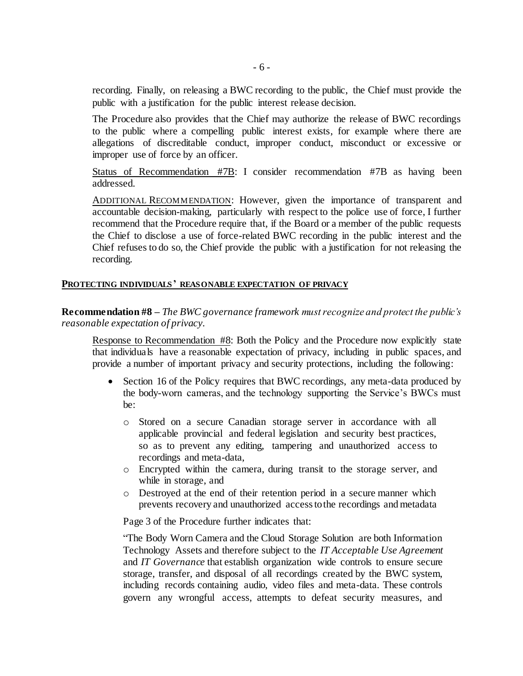recording. Finally, on releasing a BWC recording to the public, the Chief must provide the public with a justification for the public interest release decision.

The Procedure also provides that the Chief may authorize the release of BWC recordings to the public where a compelling public interest exists, for example where there are allegations of discreditable conduct, improper conduct, misconduct or excessive or improper use of force by an officer.

Status of Recommendation #7B: I consider recommendation #7B as having been addressed.

ADDITIONAL RECOMMENDATION: However, given the importance of transparent and accountable decision-making, particularly with respect to the police use of force, I further recommend that the Procedure require that, if the Board or a member of the public requests the Chief to disclose a use of force-related BWC recording in the public interest and the Chief refuses to do so, the Chief provide the public with a justification for not releasing the recording.

### **PROTECTING INDIVIDUALS' REASONABLE EXPECTATION OF PRIVACY**

**Recommendation #8 –** *The BWC governance framework must recognize and protect the public's reasonable expectation of privacy.*

Response to Recommendation #8: Both the Policy and the Procedure now explicitly state that individuals have a reasonable expectation of privacy, including in public spaces, and provide a number of important privacy and security protections, including the following:

- Section 16 of the Policy requires that BWC recordings, any meta-data produced by the body-worn cameras, and the technology supporting the Service's BWCs must be:
	- o Stored on a secure Canadian storage server in accordance with all applicable provincial and federal legislation and security best practices, so as to prevent any editing, tampering and unauthorized access to recordings and meta-data,
	- o Encrypted within the camera, during transit to the storage server, and while in storage, and
	- o Destroyed at the end of their retention period in a secure manner which prevents recovery and unauthorized access to the recordings and metadata

Page 3 of the Procedure further indicates that:

"The Body Worn Camera and the Cloud Storage Solution are both Information Technology Assets and therefore subject to the *IT Acceptable Use Agreement* and *IT Governance* that establish organization wide controls to ensure secure storage, transfer, and disposal of all recordings created by the BWC system, including records containing audio, video files and meta-data. These controls govern any wrongful access, attempts to defeat security measures, and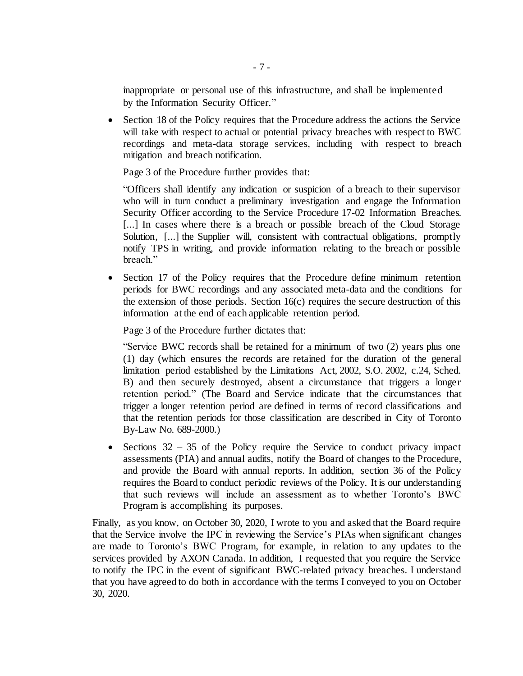inappropriate or personal use of this infrastructure, and shall be implemented by the Information Security Officer."

• Section 18 of the Policy requires that the Procedure address the actions the Service will take with respect to actual or potential privacy breaches with respect to BWC recordings and meta-data storage services, including with respect to breach mitigation and breach notification.

Page 3 of the Procedure further provides that:

"Officers shall identify any indication or suspicion of a breach to their supervisor who will in turn conduct a preliminary investigation and engage the Information Security Officer according to the Service Procedure 17-02 Information Breaches. [...] In cases where there is a breach or possible breach of the Cloud Storage Solution, [...] the Supplier will, consistent with contractual obligations, promptly notify TPS in writing, and provide information relating to the breach or possible breach."

 Section 17 of the Policy requires that the Procedure define minimum retention periods for BWC recordings and any associated meta-data and the conditions for the extension of those periods. Section 16(c) requires the secure destruction of this information at the end of each applicable retention period.

Page 3 of the Procedure further dictates that:

"Service BWC records shall be retained for a minimum of two (2) years plus one (1) day (which ensures the records are retained for the duration of the general limitation period established by the Limitations Act, 2002, S.O. 2002, c.24, Sched. B) and then securely destroyed, absent a circumstance that triggers a longer retention period." (The Board and Service indicate that the circumstances that trigger a longer retention period are defined in terms of record classifications and that the retention periods for those classification are described in City of Toronto By-Law No. 689-2000.)

• Sections  $32 - 35$  of the Policy require the Service to conduct privacy impact assessments (PIA) and annual audits, notify the Board of changes to the Procedure, and provide the Board with annual reports. In addition, section 36 of the Policy requires the Board to conduct periodic reviews of the Policy. It is our understanding that such reviews will include an assessment as to whether Toronto's BWC Program is accomplishing its purposes.

Finally, as you know, on October 30, 2020, I wrote to you and asked that the Board require that the Service involve the IPC in reviewing the Service's PIAs when significant changes are made to Toronto's BWC Program, for example, in relation to any updates to the services provided by AXON Canada. In addition, I requested that you require the Service to notify the IPC in the event of significant BWC-related privacy breaches. I understand that you have agreed to do both in accordance with the terms I conveyed to you on October 30, 2020.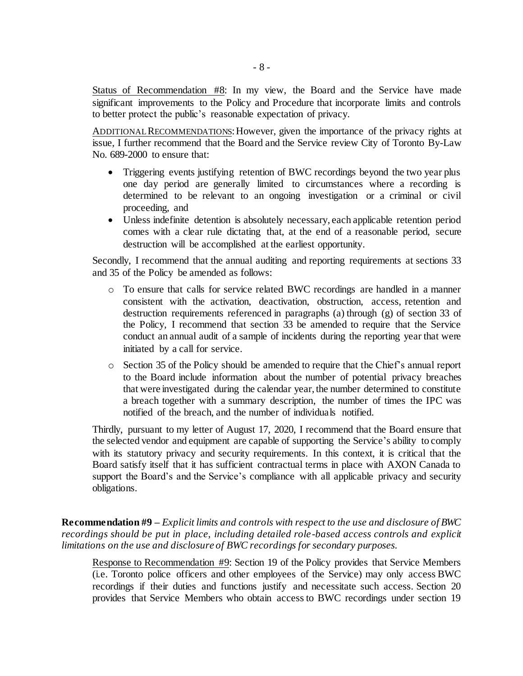Status of Recommendation #8: In my view, the Board and the Service have made significant improvements to the Policy and Procedure that incorporate limits and controls to better protect the public's reasonable expectation of privacy.

ADDITIONAL RECOMMENDATIONS: However, given the importance of the privacy rights at issue, I further recommend that the Board and the Service review City of Toronto By-Law No. 689-2000 to ensure that:

- Triggering events justifying retention of BWC recordings beyond the two year plus one day period are generally limited to circumstances where a recording is determined to be relevant to an ongoing investigation or a criminal or civil proceeding, and
- Unless indefinite detention is absolutely necessary, each applicable retention period comes with a clear rule dictating that, at the end of a reasonable period, secure destruction will be accomplished at the earliest opportunity.

Secondly, I recommend that the annual auditing and reporting requirements at sections 33 and 35 of the Policy be amended as follows:

- o To ensure that calls for service related BWC recordings are handled in a manner consistent with the activation, deactivation, obstruction, access, retention and destruction requirements referenced in paragraphs (a) through (g) of section 33 of the Policy, I recommend that section 33 be amended to require that the Service conduct an annual audit of a sample of incidents during the reporting year that were initiated by a call for service.
- o Section 35 of the Policy should be amended to require that the Chief's annual report to the Board include information about the number of potential privacy breaches that were investigated during the calendar year, the number determined to constitute a breach together with a summary description, the number of times the IPC was notified of the breach, and the number of individuals notified.

Thirdly, pursuant to my letter of August 17, 2020, I recommend that the Board ensure that the selected vendor and equipment are capable of supporting the Service's ability to comply with its statutory privacy and security requirements. In this context, it is critical that the Board satisfy itself that it has sufficient contractual terms in place with AXON Canada to support the Board's and the Service's compliance with all applicable privacy and security obligations.

**Recommendation #9 –** *Explicit limits and controls with respect to the use and disclosure of BWC recordings should be put in place, including detailed role-based access controls and explicit limitations on the use and disclosure of BWC recordings for secondary purposes.*

Response to Recommendation #9: Section 19 of the Policy provides that Service Members (i.e. Toronto police officers and other employees of the Service) may only access BWC recordings if their duties and functions justify and necessitate such access. Section 20 provides that Service Members who obtain access to BWC recordings under section 19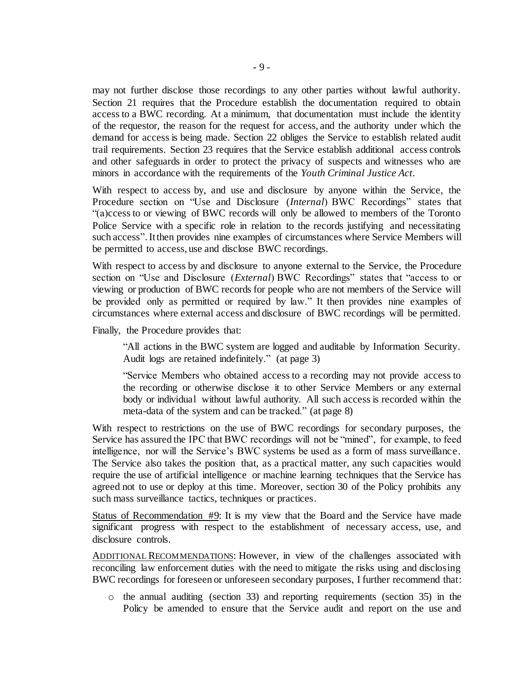may not further disclose those recordings to any other parties without lawful authority. Section 21 requires that the Procedure establish the documentation required to obtain access to a BWC recording. At a minimum, that documentation must include the identity of the requestor, the reason for the request for access, and the authority under which the demand for access is being made. Section 22 obliges the Service to establish related audit trail requirements. Section 23 requires that the Service establish additional access controls and other safeguards in order to protect the privacy of suspects and witnesses who are minors in accordance with the requirements of the *Youth Criminal Justice Act*.

With respect to access by, and use and disclosure by anyone within the Service, the Procedure section on "Use and Disclosure (*Internal*) BWC Recordings" states that "(a)ccess to or viewing of BWC records will only be allowed to members of the Toronto Police Service with a specific role in relation to the records justifying and necessitating such access".It then provides nine examples of circumstances where Service Members will be permitted to access, use and disclose BWC recordings.

With respect to access by and disclosure to anyone external to the Service, the Procedure section on "Use and Disclosure (*External*) BWC Recordings" states that "access to or viewing or production of BWC records for people who are not members of the Service will be provided only as permitted or required by law." It then provides nine examples of circumstances where external access and disclosure of BWC recordings will be permitted.

Finally, the Procedure provides that:

"All actions in the BWC system are logged and auditable by Information Security. Audit logs are retained indefinitely." (at page 3)

"Service Members who obtained access to a recording may not provide access to the recording or otherwise disclose it to other Service Members or any external body or individual without lawful authority. All such access is recorded within the meta-data of the system and can be tracked." (at page 8)

With respect to restrictions on the use of BWC recordings for secondary purposes, the Service has assured the IPC that BWC recordings will not be "mined", for example, to feed intelligence, nor will the Service's BWC systems be used as a form of mass surveillance. The Service also takes the position that, as a practical matter, any such capacities would require the use of artificial intelligence or machine learning techniques that the Service has agreed not to use or deploy at this time. Moreover, section 30 of the Policy prohibits any such mass surveillance tactics, techniques or practices.

Status of Recommendation #9: It is my view that the Board and the Service have made significant progress with respect to the establishment of necessary access, use, and disclosure controls.

ADDITIONAL RECOMMENDATIONS: However, in view of the challenges associated with reconciling law enforcement duties with the need to mitigate the risks using and disclosing BWC recordings for foreseen or unforeseen secondary purposes, I further recommend that:

 $\circ$  the annual auditing (section 33) and reporting requirements (section 35) in the Policy be amended to ensure that the Service audit and report on the use and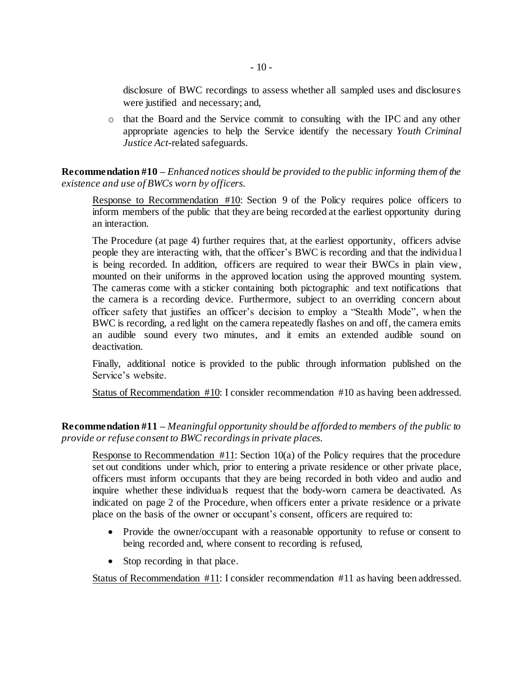disclosure of BWC recordings to assess whether all sampled uses and disclosures were justified and necessary; and,

o that the Board and the Service commit to consulting with the IPC and any other appropriate agencies to help the Service identify the necessary *Youth Criminal Justice Act*-related safeguards.

**Recommendation #10 –** *Enhanced notices should be provided to the public informing them of the existence and use of BWCs worn by officers.* 

Response to Recommendation #10: Section 9 of the Policy requires police officers to inform members of the public that they are being recorded at the earliest opportunity during an interaction.

The Procedure (at page 4) further requires that, at the earliest opportunity, officers advise people they are interacting with, that the officer's BWC is recording and that the individua l is being recorded. In addition, officers are required to wear their BWCs in plain view, mounted on their uniforms in the approved location using the approved mounting system. The cameras come with a sticker containing both pictographic and text notifications that the camera is a recording device. Furthermore, subject to an overriding concern about officer safety that justifies an officer's decision to employ a "Stealth Mode", when the BWC is recording, a red light on the camera repeatedly flashes on and off, the camera emits an audible sound every two minutes, and it emits an extended audible sound on deactivation.

Finally, additional notice is provided to the public through information published on the Service's website.

Status of Recommendation #10: I consider recommendation #10 as having been addressed.

**Recommendation #11 –** *Meaningful opportunity should be afforded to members of the public to provide or refuse consent to BWC recordings in private places.*

Response to Recommendation #11: Section 10(a) of the Policy requires that the procedure set out conditions under which, prior to entering a private residence or other private place, officers must inform occupants that they are being recorded in both video and audio and inquire whether these individuals request that the body-worn camera be deactivated. As indicated on page 2 of the Procedure, when officers enter a private residence or a private place on the basis of the owner or occupant's consent, officers are required to:

- Provide the owner/occupant with a reasonable opportunity to refuse or consent to being recorded and, where consent to recording is refused,
- Stop recording in that place.

Status of Recommendation #11: I consider recommendation #11 as having been addressed.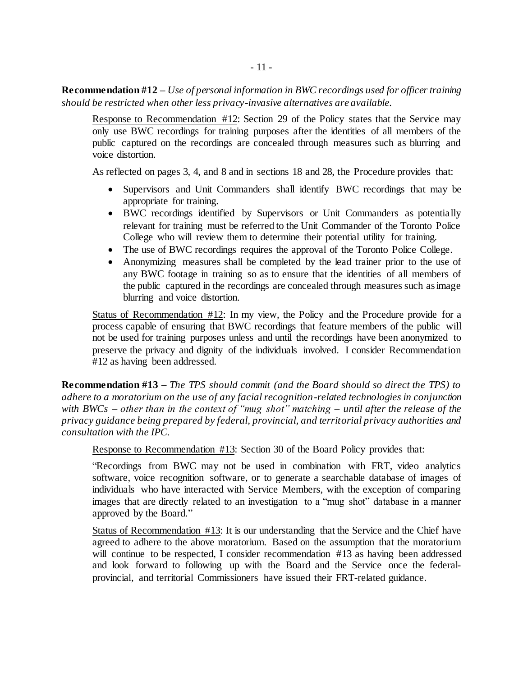**Recommendation #12 –** *Use of personal information in BWC recordings used for officer training should be restricted when other less privacy-invasive alternatives are available.*

Response to Recommendation #12: Section 29 of the Policy states that the Service may only use BWC recordings for training purposes after the identities of all members of the public captured on the recordings are concealed through measures such as blurring and voice distortion.

As reflected on pages 3, 4, and 8 and in sections 18 and 28, the Procedure provides that:

- Supervisors and Unit Commanders shall identify BWC recordings that may be appropriate for training.
- BWC recordings identified by Supervisors or Unit Commanders as potentially relevant for training must be referred to the Unit Commander of the Toronto Police College who will review them to determine their potential utility for training.
- The use of BWC recordings requires the approval of the Toronto Police College.
- Anonymizing measures shall be completed by the lead trainer prior to the use of any BWC footage in training so as to ensure that the identities of all members of the public captured in the recordings are concealed through measures such as image blurring and voice distortion.

Status of Recommendation #12: In my view, the Policy and the Procedure provide for a process capable of ensuring that BWC recordings that feature members of the public will not be used for training purposes unless and until the recordings have been anonymized to preserve the privacy and dignity of the individuals involved. I consider Recommendation #12 as having been addressed.

**Recommendation #13 –** *The TPS should commit (and the Board should so direct the TPS) to adhere to a moratorium on the use of any facial recognition-related technologies in conjunction with BWCs – other than in the context of "mug shot" matching – until after the release of the privacy guidance being prepared by federal, provincial, and territorial privacy authorities and consultation with the IPC.*

Response to Recommendation #13: Section 30 of the Board Policy provides that:

"Recordings from BWC may not be used in combination with FRT, video analytics software, voice recognition software, or to generate a searchable database of images of individuals who have interacted with Service Members, with the exception of comparing images that are directly related to an investigation to a "mug shot" database in a manner approved by the Board."

Status of Recommendation #13: It is our understanding that the Service and the Chief have agreed to adhere to the above moratorium. Based on the assumption that the moratorium will continue to be respected, I consider recommendation #13 as having been addressed and look forward to following up with the Board and the Service once the federalprovincial, and territorial Commissioners have issued their FRT-related guidance.